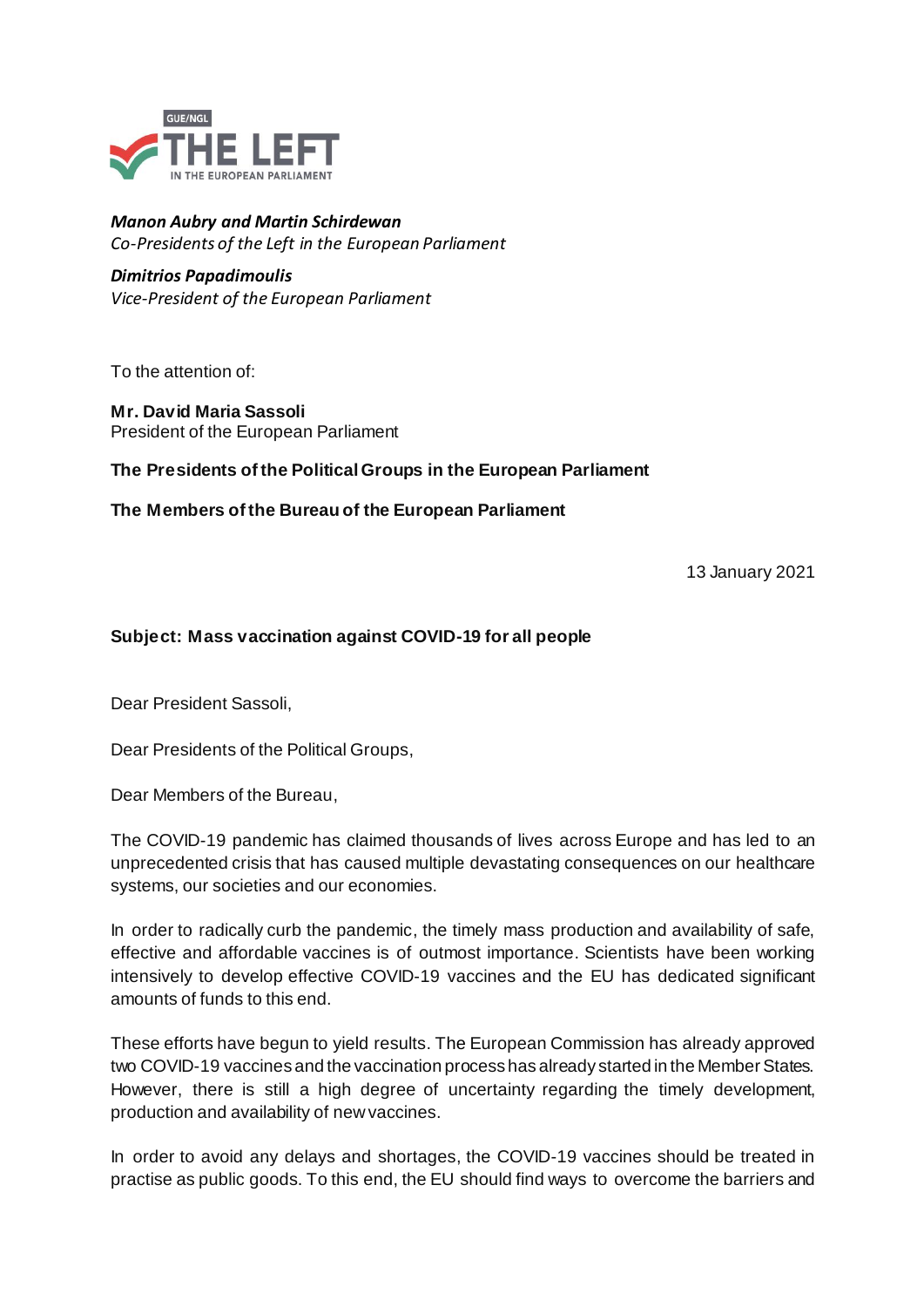

## *Manon Aubry and Martin Schirdewan Co-Presidents of the Left in the European Parliament*

## *Dimitrios Papadimoulis*

*Vice-President of the European Parliament*

To the attention of:

**Mr. David Maria Sassoli** President of the European Parliament

## **The Presidents of the Political Groups in the European Parliament**

**The Members of the Bureau of the European Parliament**

13 January 2021

## **Subject: Mass vaccination against COVID-19 for all people**

Dear President Sassoli,

Dear Presidents of the Political Groups,

Dear Members of the Bureau,

The COVID-19 pandemic has claimed thousands of lives across Europe and has led to an unprecedented crisis that has caused multiple devastating consequences on our healthcare systems, our societies and our economies.

In order to radically curb the pandemic, the timely mass production and availability of safe, effective and affordable vaccines is of outmost importance. Scientists have been working intensively to develop effective COVID-19 vaccines and the EU has dedicated significant amounts of funds to this end.

These efforts have begun to yield results. The European Commission has already approved two COVID-19 vaccines and the vaccination process has already started in the Member States. However, there is still a high degree of uncertainty regarding the timely development, production and availability of newvaccines.

In order to avoid any delays and shortages, the COVID-19 vaccines should be treated in practise as public goods. To this end, the EU should find ways to overcome the barriers and